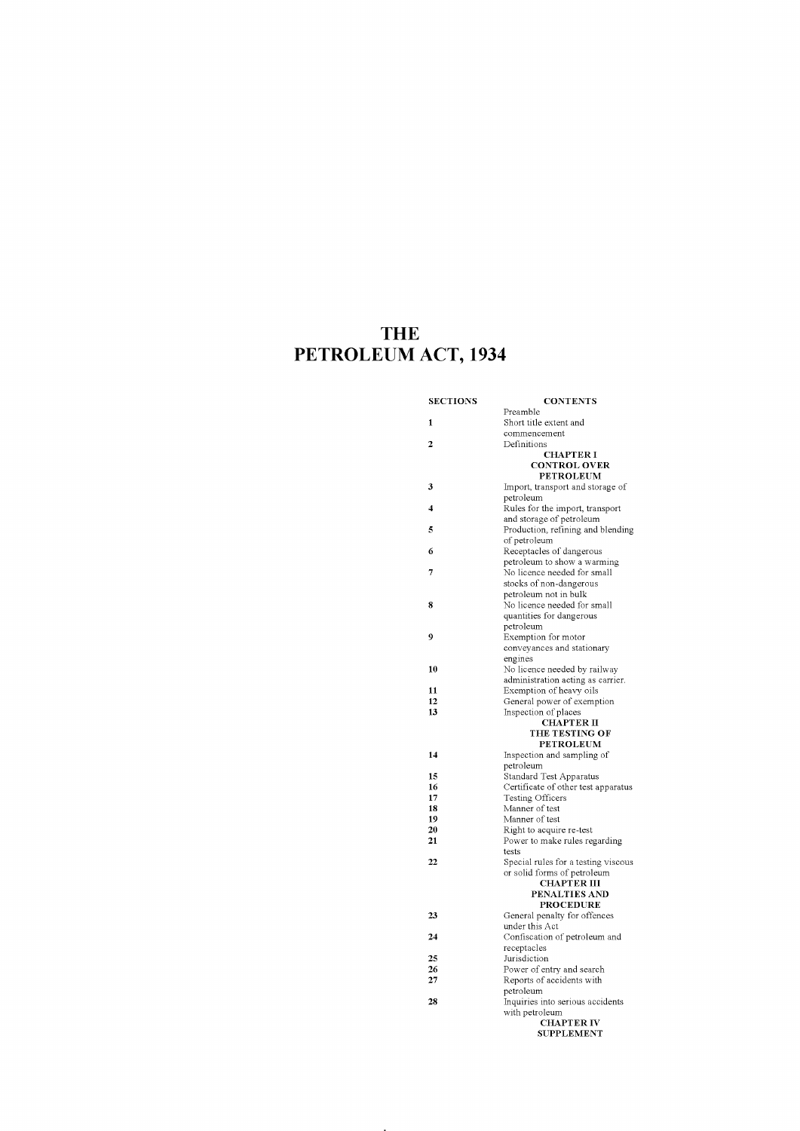# **THE PETROLEUM ACT, 1934**

| 1<br>Short title extent and<br>commencement<br>$\overline{2}$<br>Definitions<br><b>CHAPTER I</b><br><b>CONTROL OVER</b><br><b>PETROLEUM</b><br>3<br>Import, transport and storage of<br>petroleum<br>Rules for the import, transport<br>4<br>and storage of petroleum<br>Production, refining and blending<br>5<br>of petroleum<br>6<br>Receptacles of dangerous<br>petroleum to show a warming<br>7<br>No licence needed for small<br>stocks of non-dangerous<br>petroleum not in bulk<br>No licence needed for small<br>8<br>quantities for dangerous<br>petroleum<br>9<br>Exemption for motor<br>conveyances and stationary<br>engines<br>No licence needed by railway<br>10<br>administration acting as carrier.<br>Exemption of heavy oils<br>11<br>12<br>General power of exemption<br>13<br>Inspection of places<br><b>CHAPTER II</b><br>THE TESTING OF<br><b>PETROLEUM</b><br>14<br>Inspection and sampling of<br>petroleum<br>15<br><b>Standard Test Apparatus</b><br>Certificate of other test apparatus<br>16<br>Testing Officers<br>17<br>Manner of test<br>18<br>19<br>Manner of test<br>Right to acquire re-test<br>20<br>Power to make rules regarding<br>21<br>tests<br>Special rules for a testing viscous<br>22<br>or solid forms of petroleum<br><b>CHAPTER III</b><br>PENALTIES AND<br><b>PROCEDURE</b><br>23<br>General penalty for offences<br>under this Act<br>24<br>Confiscation of petroleum and<br>receptacles<br>25<br>Jurisdiction<br>Power of entry and search<br>26<br>Reports of accidents with<br>27<br>petroleum<br>Inquiries into serious accidents<br>28<br>with petroleum<br><b>CHAPTER IV</b><br><b>SUPPLEMENT</b> | <b>SECTIONS</b> | <b>CONTENTS</b> |
|----------------------------------------------------------------------------------------------------------------------------------------------------------------------------------------------------------------------------------------------------------------------------------------------------------------------------------------------------------------------------------------------------------------------------------------------------------------------------------------------------------------------------------------------------------------------------------------------------------------------------------------------------------------------------------------------------------------------------------------------------------------------------------------------------------------------------------------------------------------------------------------------------------------------------------------------------------------------------------------------------------------------------------------------------------------------------------------------------------------------------------------------------------------------------------------------------------------------------------------------------------------------------------------------------------------------------------------------------------------------------------------------------------------------------------------------------------------------------------------------------------------------------------------------------------------------------------------------------------------------------------------------------------|-----------------|-----------------|
|                                                                                                                                                                                                                                                                                                                                                                                                                                                                                                                                                                                                                                                                                                                                                                                                                                                                                                                                                                                                                                                                                                                                                                                                                                                                                                                                                                                                                                                                                                                                                                                                                                                          |                 | Preamble        |
|                                                                                                                                                                                                                                                                                                                                                                                                                                                                                                                                                                                                                                                                                                                                                                                                                                                                                                                                                                                                                                                                                                                                                                                                                                                                                                                                                                                                                                                                                                                                                                                                                                                          |                 |                 |
|                                                                                                                                                                                                                                                                                                                                                                                                                                                                                                                                                                                                                                                                                                                                                                                                                                                                                                                                                                                                                                                                                                                                                                                                                                                                                                                                                                                                                                                                                                                                                                                                                                                          |                 |                 |
|                                                                                                                                                                                                                                                                                                                                                                                                                                                                                                                                                                                                                                                                                                                                                                                                                                                                                                                                                                                                                                                                                                                                                                                                                                                                                                                                                                                                                                                                                                                                                                                                                                                          |                 |                 |
|                                                                                                                                                                                                                                                                                                                                                                                                                                                                                                                                                                                                                                                                                                                                                                                                                                                                                                                                                                                                                                                                                                                                                                                                                                                                                                                                                                                                                                                                                                                                                                                                                                                          |                 |                 |
|                                                                                                                                                                                                                                                                                                                                                                                                                                                                                                                                                                                                                                                                                                                                                                                                                                                                                                                                                                                                                                                                                                                                                                                                                                                                                                                                                                                                                                                                                                                                                                                                                                                          |                 |                 |
|                                                                                                                                                                                                                                                                                                                                                                                                                                                                                                                                                                                                                                                                                                                                                                                                                                                                                                                                                                                                                                                                                                                                                                                                                                                                                                                                                                                                                                                                                                                                                                                                                                                          |                 |                 |
|                                                                                                                                                                                                                                                                                                                                                                                                                                                                                                                                                                                                                                                                                                                                                                                                                                                                                                                                                                                                                                                                                                                                                                                                                                                                                                                                                                                                                                                                                                                                                                                                                                                          |                 |                 |
|                                                                                                                                                                                                                                                                                                                                                                                                                                                                                                                                                                                                                                                                                                                                                                                                                                                                                                                                                                                                                                                                                                                                                                                                                                                                                                                                                                                                                                                                                                                                                                                                                                                          |                 |                 |
|                                                                                                                                                                                                                                                                                                                                                                                                                                                                                                                                                                                                                                                                                                                                                                                                                                                                                                                                                                                                                                                                                                                                                                                                                                                                                                                                                                                                                                                                                                                                                                                                                                                          |                 |                 |
|                                                                                                                                                                                                                                                                                                                                                                                                                                                                                                                                                                                                                                                                                                                                                                                                                                                                                                                                                                                                                                                                                                                                                                                                                                                                                                                                                                                                                                                                                                                                                                                                                                                          |                 |                 |
|                                                                                                                                                                                                                                                                                                                                                                                                                                                                                                                                                                                                                                                                                                                                                                                                                                                                                                                                                                                                                                                                                                                                                                                                                                                                                                                                                                                                                                                                                                                                                                                                                                                          |                 |                 |
|                                                                                                                                                                                                                                                                                                                                                                                                                                                                                                                                                                                                                                                                                                                                                                                                                                                                                                                                                                                                                                                                                                                                                                                                                                                                                                                                                                                                                                                                                                                                                                                                                                                          |                 |                 |
|                                                                                                                                                                                                                                                                                                                                                                                                                                                                                                                                                                                                                                                                                                                                                                                                                                                                                                                                                                                                                                                                                                                                                                                                                                                                                                                                                                                                                                                                                                                                                                                                                                                          |                 |                 |
|                                                                                                                                                                                                                                                                                                                                                                                                                                                                                                                                                                                                                                                                                                                                                                                                                                                                                                                                                                                                                                                                                                                                                                                                                                                                                                                                                                                                                                                                                                                                                                                                                                                          |                 |                 |
|                                                                                                                                                                                                                                                                                                                                                                                                                                                                                                                                                                                                                                                                                                                                                                                                                                                                                                                                                                                                                                                                                                                                                                                                                                                                                                                                                                                                                                                                                                                                                                                                                                                          |                 |                 |
|                                                                                                                                                                                                                                                                                                                                                                                                                                                                                                                                                                                                                                                                                                                                                                                                                                                                                                                                                                                                                                                                                                                                                                                                                                                                                                                                                                                                                                                                                                                                                                                                                                                          |                 |                 |
|                                                                                                                                                                                                                                                                                                                                                                                                                                                                                                                                                                                                                                                                                                                                                                                                                                                                                                                                                                                                                                                                                                                                                                                                                                                                                                                                                                                                                                                                                                                                                                                                                                                          |                 |                 |
|                                                                                                                                                                                                                                                                                                                                                                                                                                                                                                                                                                                                                                                                                                                                                                                                                                                                                                                                                                                                                                                                                                                                                                                                                                                                                                                                                                                                                                                                                                                                                                                                                                                          |                 |                 |
|                                                                                                                                                                                                                                                                                                                                                                                                                                                                                                                                                                                                                                                                                                                                                                                                                                                                                                                                                                                                                                                                                                                                                                                                                                                                                                                                                                                                                                                                                                                                                                                                                                                          |                 |                 |
|                                                                                                                                                                                                                                                                                                                                                                                                                                                                                                                                                                                                                                                                                                                                                                                                                                                                                                                                                                                                                                                                                                                                                                                                                                                                                                                                                                                                                                                                                                                                                                                                                                                          |                 |                 |
|                                                                                                                                                                                                                                                                                                                                                                                                                                                                                                                                                                                                                                                                                                                                                                                                                                                                                                                                                                                                                                                                                                                                                                                                                                                                                                                                                                                                                                                                                                                                                                                                                                                          |                 |                 |
|                                                                                                                                                                                                                                                                                                                                                                                                                                                                                                                                                                                                                                                                                                                                                                                                                                                                                                                                                                                                                                                                                                                                                                                                                                                                                                                                                                                                                                                                                                                                                                                                                                                          |                 |                 |
|                                                                                                                                                                                                                                                                                                                                                                                                                                                                                                                                                                                                                                                                                                                                                                                                                                                                                                                                                                                                                                                                                                                                                                                                                                                                                                                                                                                                                                                                                                                                                                                                                                                          |                 |                 |
|                                                                                                                                                                                                                                                                                                                                                                                                                                                                                                                                                                                                                                                                                                                                                                                                                                                                                                                                                                                                                                                                                                                                                                                                                                                                                                                                                                                                                                                                                                                                                                                                                                                          |                 |                 |
|                                                                                                                                                                                                                                                                                                                                                                                                                                                                                                                                                                                                                                                                                                                                                                                                                                                                                                                                                                                                                                                                                                                                                                                                                                                                                                                                                                                                                                                                                                                                                                                                                                                          |                 |                 |
|                                                                                                                                                                                                                                                                                                                                                                                                                                                                                                                                                                                                                                                                                                                                                                                                                                                                                                                                                                                                                                                                                                                                                                                                                                                                                                                                                                                                                                                                                                                                                                                                                                                          |                 |                 |
|                                                                                                                                                                                                                                                                                                                                                                                                                                                                                                                                                                                                                                                                                                                                                                                                                                                                                                                                                                                                                                                                                                                                                                                                                                                                                                                                                                                                                                                                                                                                                                                                                                                          |                 |                 |
|                                                                                                                                                                                                                                                                                                                                                                                                                                                                                                                                                                                                                                                                                                                                                                                                                                                                                                                                                                                                                                                                                                                                                                                                                                                                                                                                                                                                                                                                                                                                                                                                                                                          |                 |                 |
|                                                                                                                                                                                                                                                                                                                                                                                                                                                                                                                                                                                                                                                                                                                                                                                                                                                                                                                                                                                                                                                                                                                                                                                                                                                                                                                                                                                                                                                                                                                                                                                                                                                          |                 |                 |
|                                                                                                                                                                                                                                                                                                                                                                                                                                                                                                                                                                                                                                                                                                                                                                                                                                                                                                                                                                                                                                                                                                                                                                                                                                                                                                                                                                                                                                                                                                                                                                                                                                                          |                 |                 |
|                                                                                                                                                                                                                                                                                                                                                                                                                                                                                                                                                                                                                                                                                                                                                                                                                                                                                                                                                                                                                                                                                                                                                                                                                                                                                                                                                                                                                                                                                                                                                                                                                                                          |                 |                 |
|                                                                                                                                                                                                                                                                                                                                                                                                                                                                                                                                                                                                                                                                                                                                                                                                                                                                                                                                                                                                                                                                                                                                                                                                                                                                                                                                                                                                                                                                                                                                                                                                                                                          |                 |                 |
|                                                                                                                                                                                                                                                                                                                                                                                                                                                                                                                                                                                                                                                                                                                                                                                                                                                                                                                                                                                                                                                                                                                                                                                                                                                                                                                                                                                                                                                                                                                                                                                                                                                          |                 |                 |
|                                                                                                                                                                                                                                                                                                                                                                                                                                                                                                                                                                                                                                                                                                                                                                                                                                                                                                                                                                                                                                                                                                                                                                                                                                                                                                                                                                                                                                                                                                                                                                                                                                                          |                 |                 |
|                                                                                                                                                                                                                                                                                                                                                                                                                                                                                                                                                                                                                                                                                                                                                                                                                                                                                                                                                                                                                                                                                                                                                                                                                                                                                                                                                                                                                                                                                                                                                                                                                                                          |                 |                 |
|                                                                                                                                                                                                                                                                                                                                                                                                                                                                                                                                                                                                                                                                                                                                                                                                                                                                                                                                                                                                                                                                                                                                                                                                                                                                                                                                                                                                                                                                                                                                                                                                                                                          |                 |                 |
|                                                                                                                                                                                                                                                                                                                                                                                                                                                                                                                                                                                                                                                                                                                                                                                                                                                                                                                                                                                                                                                                                                                                                                                                                                                                                                                                                                                                                                                                                                                                                                                                                                                          |                 |                 |
|                                                                                                                                                                                                                                                                                                                                                                                                                                                                                                                                                                                                                                                                                                                                                                                                                                                                                                                                                                                                                                                                                                                                                                                                                                                                                                                                                                                                                                                                                                                                                                                                                                                          |                 |                 |
|                                                                                                                                                                                                                                                                                                                                                                                                                                                                                                                                                                                                                                                                                                                                                                                                                                                                                                                                                                                                                                                                                                                                                                                                                                                                                                                                                                                                                                                                                                                                                                                                                                                          |                 |                 |
|                                                                                                                                                                                                                                                                                                                                                                                                                                                                                                                                                                                                                                                                                                                                                                                                                                                                                                                                                                                                                                                                                                                                                                                                                                                                                                                                                                                                                                                                                                                                                                                                                                                          |                 |                 |
|                                                                                                                                                                                                                                                                                                                                                                                                                                                                                                                                                                                                                                                                                                                                                                                                                                                                                                                                                                                                                                                                                                                                                                                                                                                                                                                                                                                                                                                                                                                                                                                                                                                          |                 |                 |
|                                                                                                                                                                                                                                                                                                                                                                                                                                                                                                                                                                                                                                                                                                                                                                                                                                                                                                                                                                                                                                                                                                                                                                                                                                                                                                                                                                                                                                                                                                                                                                                                                                                          |                 |                 |
|                                                                                                                                                                                                                                                                                                                                                                                                                                                                                                                                                                                                                                                                                                                                                                                                                                                                                                                                                                                                                                                                                                                                                                                                                                                                                                                                                                                                                                                                                                                                                                                                                                                          |                 |                 |
|                                                                                                                                                                                                                                                                                                                                                                                                                                                                                                                                                                                                                                                                                                                                                                                                                                                                                                                                                                                                                                                                                                                                                                                                                                                                                                                                                                                                                                                                                                                                                                                                                                                          |                 |                 |
|                                                                                                                                                                                                                                                                                                                                                                                                                                                                                                                                                                                                                                                                                                                                                                                                                                                                                                                                                                                                                                                                                                                                                                                                                                                                                                                                                                                                                                                                                                                                                                                                                                                          |                 |                 |
|                                                                                                                                                                                                                                                                                                                                                                                                                                                                                                                                                                                                                                                                                                                                                                                                                                                                                                                                                                                                                                                                                                                                                                                                                                                                                                                                                                                                                                                                                                                                                                                                                                                          |                 |                 |
|                                                                                                                                                                                                                                                                                                                                                                                                                                                                                                                                                                                                                                                                                                                                                                                                                                                                                                                                                                                                                                                                                                                                                                                                                                                                                                                                                                                                                                                                                                                                                                                                                                                          |                 |                 |
|                                                                                                                                                                                                                                                                                                                                                                                                                                                                                                                                                                                                                                                                                                                                                                                                                                                                                                                                                                                                                                                                                                                                                                                                                                                                                                                                                                                                                                                                                                                                                                                                                                                          |                 |                 |
|                                                                                                                                                                                                                                                                                                                                                                                                                                                                                                                                                                                                                                                                                                                                                                                                                                                                                                                                                                                                                                                                                                                                                                                                                                                                                                                                                                                                                                                                                                                                                                                                                                                          |                 |                 |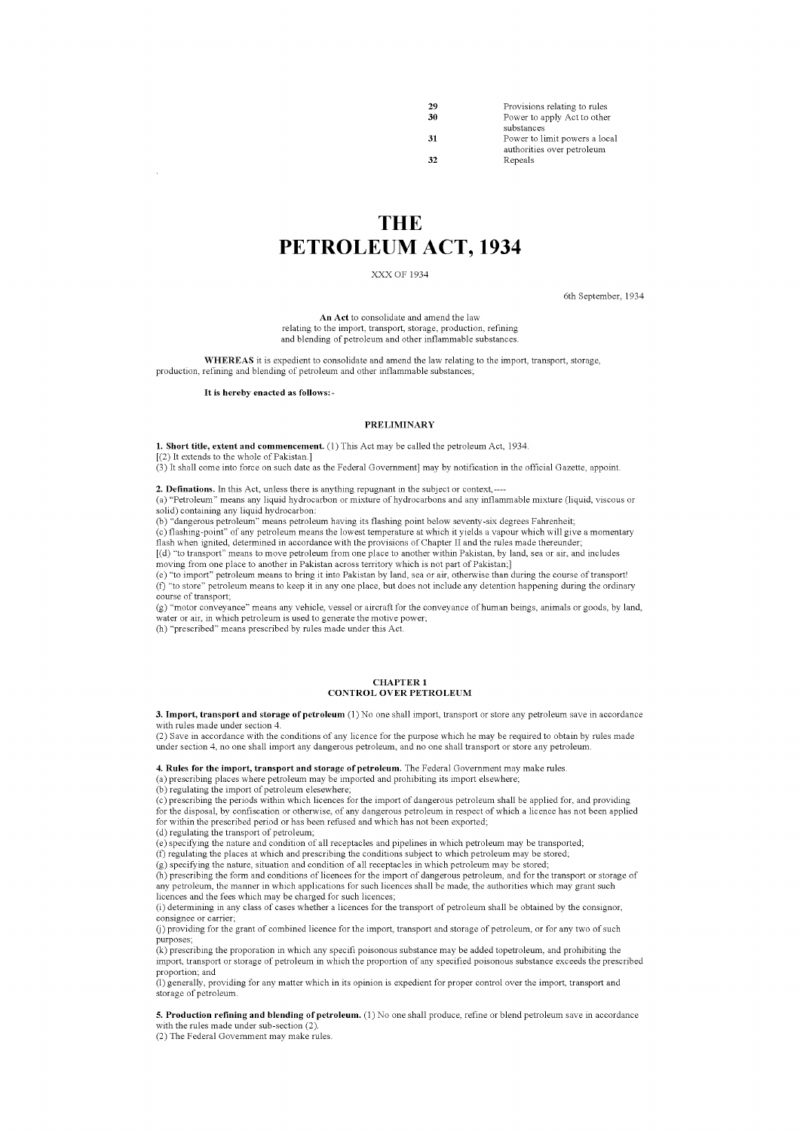| 29  | Provisions relating to rules  |
|-----|-------------------------------|
| 30  | Power to apply Act to other   |
|     | substances                    |
| -31 | Power to limit powers a local |
|     | authorities over petroleum    |
| 32  | Repeals                       |
|     |                               |

# **THE PETROLEUM ACT, 1934**

XXX OF 1934

6th September, 1934

An Act to consolidate and amend the law relating to the import, transport, storage, production, refining and blending of petroleum and other inflammable substances.

WHEREAS it is expedient to consolidate and amend the law relating to the import, transport, storage, production, refining and blending of petroleum and other inflammable substances;

### It is hereby enacted as follows:-

### PRELIMINARY

1. Short title, extent and commencement. (I) This Act may be called the petroleum Act, 1934. [(2) It extends to the whole of Pakistan.]

 $(3)$  It shall come into force on such date as the Federal Government] may by notification in the official Gazette, appoint.

**2. Definations.** In this Act, unless there is anything repugnant in the subject or context,----

(a) "Petroleum" means any liquid hydrocarbon or mixture of hydrocarbons and any inflammable mixture (liquid, viscous or

solid) containing any liquid hydrocarbon:

(b) "dangerous petroleum" means petroleum having its flashing point below seventy-six degrees Fahrenheit;

(c) flashing-point" of any petroleum means the lowest temperature at which it yields a vapour which will give a momentary flash when ignited, determined in accordance with the provisions of Chapter II and the rules made thereunder; [(d) "to transport" means to move petroleum from one place to another within Pakistan, by land, sea or air, and includes

moving from one place to another in Pakistan across territory which is not part of Pakistan.]

(e) "to import" petroleum means to bring it into Pakistan by land, sea or air, otherwise than during the course oftransport! (f) "to store" petroleum means to keep it in anyone place, but does not include any detention happening during the ordinary course of transport;

(g) "motor conveyance" means any vehicle, vessel or aircraft for the conveyance of human beings, animals or goods, by land, water or air, in which petroleum is used to generate the motive power;

(b) "prescribed" means prescribed by rules made under this Act.

#### CHAPTER 1 CONTROL OVER PETROLEUM

**3. Import, transport and storage** of petroleum (1) No one shall import, transport or store any petroleum save in accordance with rules made under section 4.

(2) Save in accordance with the conditions of any licence for the purpose which he may be required to obtain by rules made under section 4, no one shall import any dangerous petroleum, and no one shall transport or store any petroleum.

**4. Rules for the import, transport and storage** of petroleum. The Federal Government may make rules.

(a) prescribing places where petroleum may be imported and prohibiting its import elsewhere; (b) regulating the import of petroleum elesewhere;

 $(c)$  prescribing the periods within which licences for the import of dangerous petroleum shall be applied for, and providing for the disposal, by confiscation or otherwise, of any dangerous petroleum in respect of which a licence has not been applied for within the prescribed period or has been refused and which has not been exported;

(d) regulating the transport of petroleum; (e) specifying the nature and condition of all receptacles and pipelines in which petroleum may be transported; (f) regulating the places at which and prescribing the conditions subject to which petroleum may be stored;

(g) specifying the nature, situation and condition of all receptacles in which petroleum may be stored;

(b) prescribing the form and conditions of licences for the import of dangerous petroleum, and for the transport or storage of any petroleum, the manner in which applications for such licences shall be made, the authorities which may grant such licences and the fees which may be charged for such licences;

(i) determining in any class of cases whether a licences for the transport of petroleum shall be obtained by the consignor, consignee or carrier;

(j) providing for the grant of combined licence for the import, transport and storage of petroleum, or for any two ofsuch purposes;

(k) prescribing the proporation in which any specifi poisonous substance may be added topetroleum, and prohibiting the import, transport or storage of petroleum in which the proportion of any specified poisonous substance exceeds the prescribed proportion; and

(1)generally, providing for any maller which in its opinion is expedient for proper control over the import, transport and storage of petroleum.

5. Production refining and blending of petroleum. (I) No one shall produce, refine or blend petroleum save in accordance with the rules made under sub-section  $(2)$ .

(2) The Federal Government may make rules.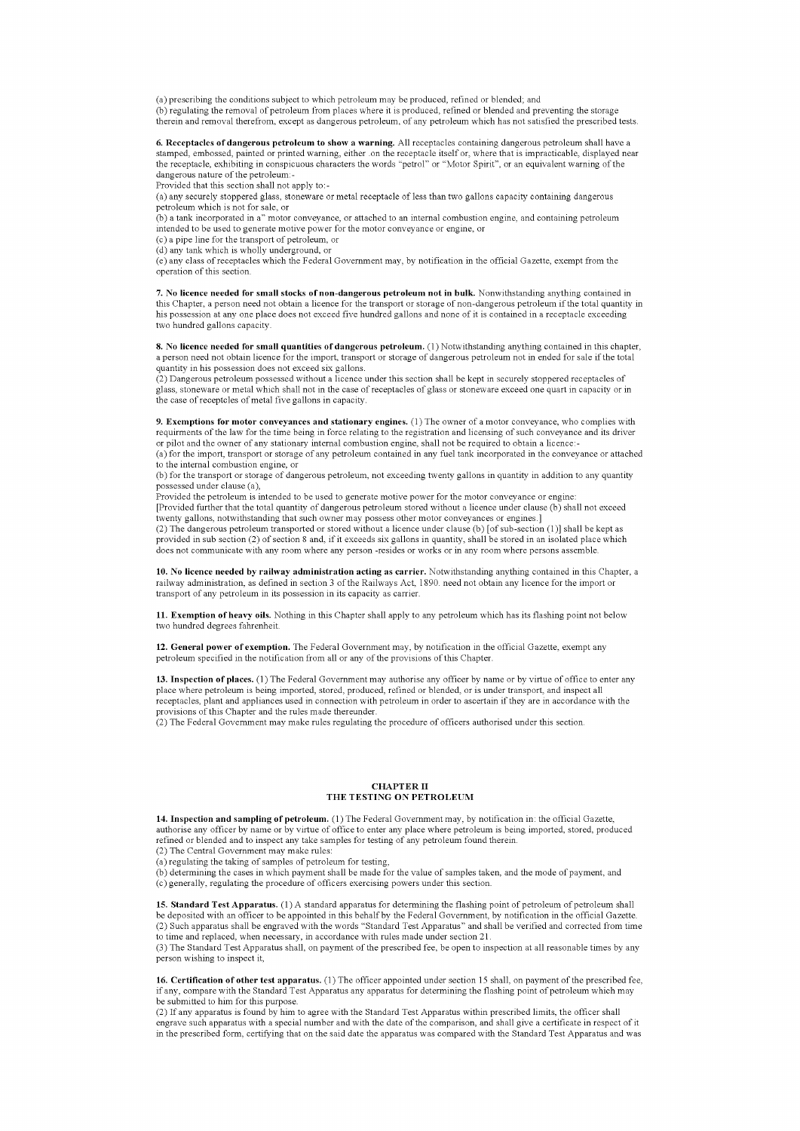(a) prescribing the conditions subject to which petroleum may be produced, refined or blended; and (b) regulating the removal of petroleum from places where it is produced, refined or blended and preventing the storage therein and removal therefrom, except as dangerous petroleum, of any petroleum which has not satisfied the prescribed tests.

**6. Receptacles of dangerous petroleum to show a warning.** All receptacles containing dangerous petroleum shall have a stamped, embossed, painted or printed warning, either .on the receptacle itself or, where that is impracticable, displayed near<br>the receptacle, exhibiting in conspicuous characters the words "petrol" or "Motor Spirit", or dangerous nature of the petroleum:-

Provided that this section shall not apply to:-

(a) any securely stoppered glass, stoneware or metal receptacle of less than two gallons capacity containing dangerous petroleum which is not for sale, or

(b) a tank incorporated in a" motor conveyance, or attached to an internal combustion engine, and containing petroleum intended to be used to generate motive power for the motor conveyance or engine, or

(c) a pipe line for the transport of petroleum, or (d) any tank which is wholly underground, or

(e) any class of receptacles which the Federal Government may, by notification in the official Gazette, exempt from the operation of this section.

**7. No licence needed for small stocks** of non-dangerous **petroleum not in bulk.** Nonwithstanding anything contained in this Chapter, a person need not obtain a licence for the transport or storage of non-dangerous petroleum if the total quantity in<br>his possession at any one place does not exceed five hundred gallons and none of it is conta two hundred gallons capacity.

8. No licence needed for small quantities of dangerous petroleum. (I) Notwithstanding anything contained in this chapter, a person need not obtain licence for the import, transport or storage of dangerous petroleum not in ended for sale if the total quantity in his possession does not exceed six gallons.

(2) Dangerous petroleum possessed without a licence under this section shall be kept in securely stoppered receptacles of glass, stoneware or metal which shall not in the case of receptacles of glass or stoneware exceed one quart in capacity or in the case of receptcles of metal five gallons in capacity.

**9. Exemptions for motor conveyances and stationary engines.** (1) The owner of a motor conveyance, who complies with requirments of the law for the time being in force relating to the registration and licensing of such conveyance and its driver or pilot and the owner of any stationary internal combustion engine, shall not be required to obtain a licence:-

(a) for the import, transport or storage of any petroleum contained in any fuel tank incorporated in the conveyance or attached to the internal combustion engine, or

(b) for the transport or storage of dangerous petroleum, not exceeding twenty gallons in quantity in addition to any quantity possessed under clause (a),

Provided the petroleum is intended to be used to generate motive power for the motor conveyance or engine: [Provided further that the total quantity of dangerous petroleum stored without a licence under clause (b) shall not exceed twenty gallons, notwithstanding that such owner may possess other motor conveyances or engines.] (2) The dangerous petroleum transported or stored without a licence under clause (b) [ofsub-section (I)] shall be kept as provided in sub section (2) of section 8 and, if it exceeds six gallons in quantity, shall be stored in an isolated place which does not communicate with any room where any person -resides or works or in any room where persons assemble.

**10. No licence needed by railway administration acting as carrier.** Notwithstanding anything contained in this Chapter, a railway administration, as defined in section 3 of the Railways Act, 1890. need not obtain any licence for the import or transport of any petroleum in its possession in its capacity as carrier.

11. Exemption of heavy oils. Nothing in this Chapter shall apply to any petroleum which has its flashing point not below two hundred degrees fahrenheit.

12. General power of exemption. The Federal Government may, by notification in the official Gazette, exempt any petroleum specified in the notification from all or any of the provisions of this Chapter.

13. Inspection of places. (I) The Federal Government may authorise any officer by name or by virtue of office to enter any place where petroleum is being imported, stored, produced, refined or blended, or is under transport, and inspect all receptacles, plant and appliances used in connection with petroleum in order to ascertain if they are in accordance with the provisions of this Chapter and the rules made thereunder.

(2) The Federal Government may make rules regulating the procedure of officers authorised under this section.

## CHAPTER II THE TESTING ON PETROLEUM

14. Inspection and sampling of petroleum. (I) The Federal Government may, by notification in: the official Gazette, authorise any officer by name or by virtue of office to enter any place where petroleum is being imported, stored, produced refined or blended and to inspect any take samples for testing of any petroleum found therein. (2) The Central Government may make rules:

- (a) regulating the taking of samples of petroleum for testing,
- 

(b) determining the cases in which payment shall be made for the value of samples taken, and the mode of payment, and (b) determining the cases in which payment shall be made for the value of samples taken, and the mode of (c) generally, regulating the procedure of officers exercising powers under this section.

15. Standard Test Apparatus. (I) A standard apparatus for determining the flashing point of petroleum of petroleum shall be deposited with an officer to be appointed in this behalf by the Federal Government, by notification in the official Gazette.<br>(2) Such apparatus shall be engraved with the words "Standard Test Apparatus" and shall be ver to time and replaced, when necessary, in accordance with rules made under section 2l.

(3) The Standard Test Apparatus shall, on payment of the prescribed fee, be open to inspection at all reasonable times by any person wishing to inspect it,

16. Certification of other test apparatus. (I) The officer appointed under section 15 shall, on payment of the prescribed fee, if any, compare with the Standard Test Apparatus any apparatus for determining the flashing point of petroleum which may be submitted to him for this purpose.

(2) If any apparatus is found by him to agree with the Standard Test Apparatus within prescribed limits, the officer shall engrave such apparatus with a special number and with the date of the comparison, and shall give a certificate in respect of it in the prescribed form, certifying that on the said date the apparatus was compared with the Standard Test Apparatus and was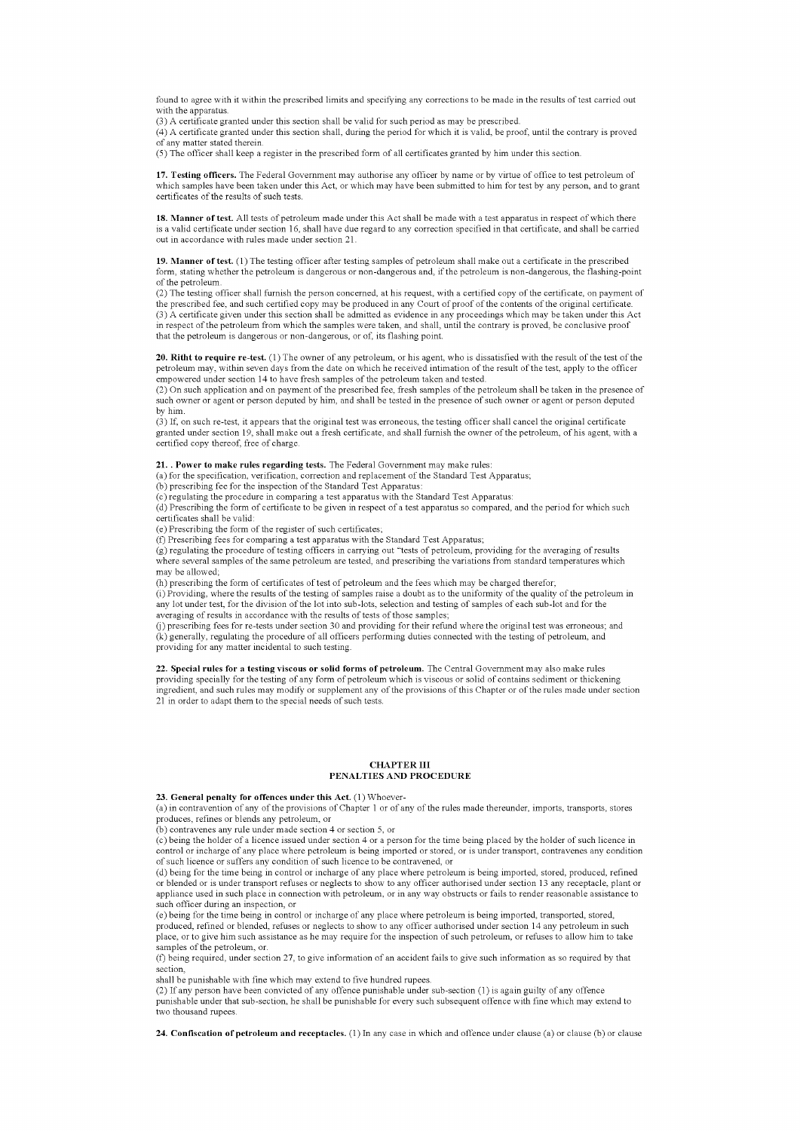found to agree with it within the prescribed limits and specifying any corrections to be made in the results of test carried out with the apparatus

(3) A certificate granted under this section shall be valid for such period as may be prescribed.

(4) A certificate granted under this section shall, during the period for which it is valid, be proof, until the contrary is proved of any matter stated therein.

(5) The officer shall keep a register in the prescribed form of all certificates granted by him under this section.

17. Testing officers. The Federal Government may authorise any officer by name or by virtue of office to test petroleum of which samples have been taken under this Act, or which may have been submitted to him for test by any person, and to grant certificates of the results of such tests.

18. Manner of test. All tests of petroleum made under this Act shall be made with a test apparatus in respect of which there is a valid certificate under section 16, shall have due regard to any correction specified in that certificate, and shall be carried out in accordance with rules made under section 21.

19. Manner of test. (1) The testing officer after testing samples of petroleum shall make out a certificate in the prescribed form, stating whether the petroleum is dangerous or non-dangerous and, if the petroleum is non-dangerous, the flashing-point of the petroleum.

(2) The testing officer shall furnish the person concerned, at his request, with a certified copy of the certificate, on payment of the prescribed fee, and such certified copy may be produced in any Court of proof of the contents of the original certificate.<br>(3) A certificate given under this section shall be admitted as evidence in any proceedings whi that the petroleum is dangerous or non-dangerous, or of, its flashing point.

20. Ritht to require re-test. (1) The owner of any petroleum, or his agent, who is dissatisfied with the result of the test of the petroleum may, within seven days from the date on which he received intimation of the result of the test, apply to the officer

empowered under section 14 to have fresh samples of the petroleum taken and tested. (2) On such application and on payment of the prescribed fee, fresh samples ofthe petroleum shall be taken in the presence of such owner or agent or person deputed by him, and shall be tested in the presence of such owner or agent or person deputed by him.

(3) If, on such re-test, it appears that the original test was erroneous, the testing officer shall cancel the original certificate granted under section 19, shall make out a fresh certificate, and shall furnish the owner ofthe petroleum, of his agent, with a certified copy thereof, free of charge.

### **21. . Power to make rules regarding tests.** The Federal Government may make rules:

(a) for the specification, verification, correction and replacement of the Standard Test Apparatus; (b) prescribing fee for the inspection of the Standard Test Apparatus:

(c) regulating the procedure in comparing a test apparatus with the Standard Test Apparatus:

(d) Prescribing the form of certificate to be given in respect of a test apparatus so compared, and the period for which such certificates shall be valid:

(e) Prescribing the form of the register of such certificates;

(f) Prescribing fees for comparing a test apparatus with the Standard Test Apparatus;

(g) regulating the procedure oftesting officers in carrying out "tests of petroleum, providing for the averaging of results where several samples of the same petroleum are tested, and prescribing the variations from standard temperatures which may be allowed;

(h) prescribing the form of certificates of test of petroleum and the fees which may be charged therefor;

 $(i)$  Providing, where the results of the testing of samples raise a doubt as to the uniformity of the quality of the petroleum in any lot under test, for the division ofthe lot into sub-lots, selection and testing of samples of each sub-lot and for the averaging of results in accordance with the results of tests of those samples;

G) prescribing fees for re-tests under section 30 and providing for their refund where the original test was erroneous; and (k) generally, regulating the procedure of all officers performing duties connected with the testing of petroleum, and providing for any matter incidental to such testing.

**22. Special rules for a testing viscous or solid forms of petroleum.** The Central Government may also make rules providing specially for the testing of any form of petroleum which is viscous or solid of contains sediment or thickening ingredient, and such rules may modify or supplement any of the provisions of this Chapter or of the rules made under section 21 in order to adapt them to the special needs of such tests.

#### CHAPTER III PENALTIES AND PROCEDURE

## 23. General penalty for offences under this Act. (I) Whoever-

(a) in contravention of any of the provisions of Chapter 1 or of any of the rules made thereunder, imports, transports, stores produces, refines or blends any petroleum, or

(b) contravenes any rule under made section 4 or section 5, or

(c) being the holder of a licence issued under section 4 or a person for the time being placed by the holder of such licence in control or incharge of any place where petroleum is being imported or stored, or is under transport, contravenes any condition of such licence or suffers any condition of such licence to be contravened, or

(d) being for the time being in control or incharge of any place where petroleum is being imported, stored, produced, refined or blended or is under transport refuses or neglects to show to any officer authorised under section 13 any receptacle, plant or appliance used in such place in connection with petroleum, or in any way obstructs or fails to render reasonable assistance to such officer during an inspection, or

(e) being for the time being in control or incharge of any place where petroleum is being imported, transported, stored, produced, refined or blended, refuses or neglects to show to any officer authorised under section **14** any petroleum in such place, or to give him such assistance as he may require for the inspection of such petroleum, or refuses to allow him to take samples of the petroleum, or.

(f) being required, under section 27, to give information of an accident fails to give such information as so required by that section,

shall be punishable with fine which may extend to five hundred rupees.

(2) If any person have been convicted of any offence punishable under sub-section (1) is again guilty of any offence<br>punishable under that sub-section, he shall be punishable for every such subsequent offence with fine whi two thousand rupees.

24. Confiscation of petroleum and receptacles. (1) In any case in which and offence under clause (a) or clause (b) or clause